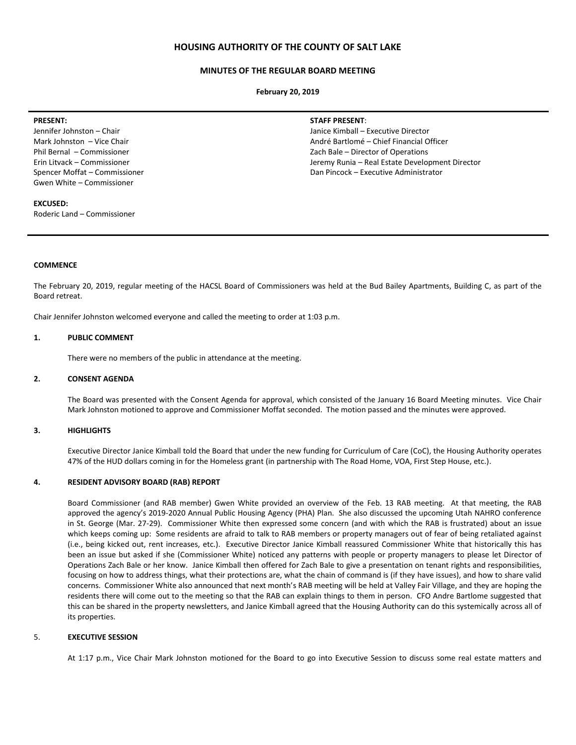# **HOUSING AUTHORITY OF THE COUNTY OF SALT LAKE**

## **MINUTES OF THE REGULAR BOARD MEETING**

**February 20, 2019**

#### **PRESENT:**

Jennifer Johnston – Chair Mark Johnston – Vice Chair Phil Bernal – Commissioner Erin Litvack – Commissioner Spencer Moffat – Commissioner Gwen White – Commissioner

#### **EXCUSED:**

Roderic Land – Commissioner

#### **STAFF PRESENT**:

Janice Kimball – Executive Director André Bartlomé – Chief Financial Officer Zach Bale – Director of Operations Jeremy Runia – Real Estate Development Director Dan Pincock – Executive Administrator

#### **COMMENCE**

The February 20, 2019, regular meeting of the HACSL Board of Commissioners was held at the Bud Bailey Apartments, Building C, as part of the Board retreat.

Chair Jennifer Johnston welcomed everyone and called the meeting to order at 1:03 p.m.

#### **1. PUBLIC COMMENT**

There were no members of the public in attendance at the meeting.

#### **2. CONSENT AGENDA**

The Board was presented with the Consent Agenda for approval, which consisted of the January 16 Board Meeting minutes. Vice Chair Mark Johnston motioned to approve and Commissioner Moffat seconded. The motion passed and the minutes were approved.

## **3. HIGHLIGHTS**

Executive Director Janice Kimball told the Board that under the new funding for Curriculum of Care (CoC), the Housing Authority operates 47% of the HUD dollars coming in for the Homeless grant (in partnership with The Road Home, VOA, First Step House, etc.).

## **4. RESIDENT ADVISORY BOARD (RAB) REPORT**

Board Commissioner (and RAB member) Gwen White provided an overview of the Feb. 13 RAB meeting. At that meeting, the RAB approved the agency's 2019-2020 Annual Public Housing Agency (PHA) Plan. She also discussed the upcoming Utah NAHRO conference in St. George (Mar. 27-29). Commissioner White then expressed some concern (and with which the RAB is frustrated) about an issue which keeps coming up: Some residents are afraid to talk to RAB members or property managers out of fear of being retaliated against (i.e., being kicked out, rent increases, etc.). Executive Director Janice Kimball reassured Commissioner White that historically this has been an issue but asked if she (Commissioner White) noticed any patterns with people or property managers to please let Director of Operations Zach Bale or her know. Janice Kimball then offered for Zach Bale to give a presentation on tenant rights and responsibilities, focusing on how to address things, what their protections are, what the chain of command is (if they have issues), and how to share valid concerns. Commissioner White also announced that next month's RAB meeting will be held at Valley Fair Village, and they are hoping the residents there will come out to the meeting so that the RAB can explain things to them in person. CFO Andre Bartlome suggested that this can be shared in the property newsletters, and Janice Kimball agreed that the Housing Authority can do this systemically across all of its properties.

## 5. **EXECUTIVE SESSION**

At 1:17 p.m., Vice Chair Mark Johnston motioned for the Board to go into Executive Session to discuss some real estate matters and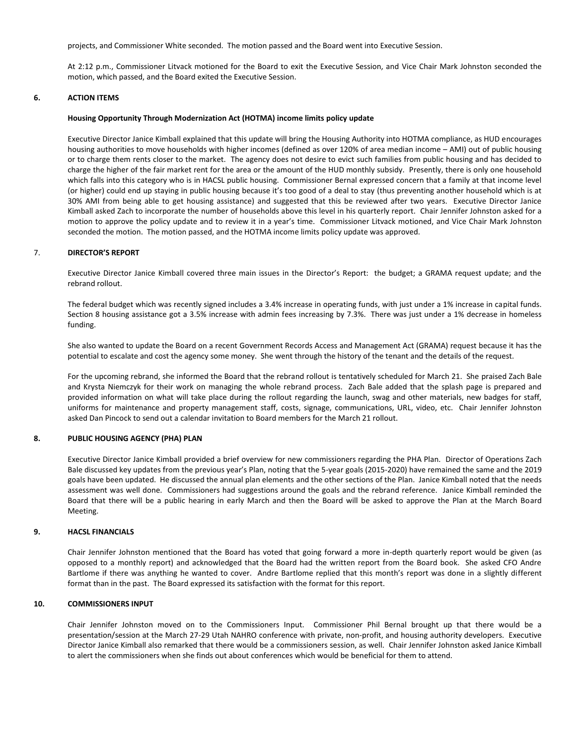projects, and Commissioner White seconded. The motion passed and the Board went into Executive Session.

At 2:12 p.m., Commissioner Litvack motioned for the Board to exit the Executive Session, and Vice Chair Mark Johnston seconded the motion, which passed, and the Board exited the Executive Session.

# **6. ACTION ITEMS**

## **Housing Opportunity Through Modernization Act (HOTMA) income limits policy update**

Executive Director Janice Kimball explained that this update will bring the Housing Authority into HOTMA compliance, as HUD encourages housing authorities to move households with higher incomes (defined as over 120% of area median income – AMI) out of public housing or to charge them rents closer to the market. The agency does not desire to evict such families from public housing and has decided to charge the higher of the fair market rent for the area or the amount of the HUD monthly subsidy. Presently, there is only one household which falls into this category who is in HACSL public housing. Commissioner Bernal expressed concern that a family at that income level (or higher) could end up staying in public housing because it's too good of a deal to stay (thus preventing another household which is at 30% AMI from being able to get housing assistance) and suggested that this be reviewed after two years. Executive Director Janice Kimball asked Zach to incorporate the number of households above this level in his quarterly report. Chair Jennifer Johnston asked for a motion to approve the policy update and to review it in a year's time. Commissioner Litvack motioned, and Vice Chair Mark Johnston seconded the motion. The motion passed, and the HOTMA income limits policy update was approved.

## 7. **DIRECTOR'S REPORT**

Executive Director Janice Kimball covered three main issues in the Director's Report: the budget; a GRAMA request update; and the rebrand rollout.

The federal budget which was recently signed includes a 3.4% increase in operating funds, with just under a 1% increase in capital funds. Section 8 housing assistance got a 3.5% increase with admin fees increasing by 7.3%. There was just under a 1% decrease in homeless funding.

She also wanted to update the Board on a recent Government Records Access and Management Act (GRAMA) request because it has the potential to escalate and cost the agency some money. She went through the history of the tenant and the details of the request.

For the upcoming rebrand, she informed the Board that the rebrand rollout is tentatively scheduled for March 21. She praised Zach Bale and Krysta Niemczyk for their work on managing the whole rebrand process. Zach Bale added that the splash page is prepared and provided information on what will take place during the rollout regarding the launch, swag and other materials, new badges for staff, uniforms for maintenance and property management staff, costs, signage, communications, URL, video, etc. Chair Jennifer Johnston asked Dan Pincock to send out a calendar invitation to Board members for the March 21 rollout.

#### **8. PUBLIC HOUSING AGENCY (PHA) PLAN**

Executive Director Janice Kimball provided a brief overview for new commissioners regarding the PHA Plan. Director of Operations Zach Bale discussed key updates from the previous year's Plan, noting that the 5-year goals (2015-2020) have remained the same and the 2019 goals have been updated. He discussed the annual plan elements and the other sections of the Plan. Janice Kimball noted that the needs assessment was well done. Commissioners had suggestions around the goals and the rebrand reference. Janice Kimball reminded the Board that there will be a public hearing in early March and then the Board will be asked to approve the Plan at the March Board Meeting.

## **9. HACSL FINANCIALS**

Chair Jennifer Johnston mentioned that the Board has voted that going forward a more in-depth quarterly report would be given (as opposed to a monthly report) and acknowledged that the Board had the written report from the Board book. She asked CFO Andre Bartlome if there was anything he wanted to cover. Andre Bartlome replied that this month's report was done in a slightly different format than in the past. The Board expressed its satisfaction with the format for this report.

## **10. COMMISSIONERS INPUT**

Chair Jennifer Johnston moved on to the Commissioners Input. Commissioner Phil Bernal brought up that there would be a presentation/session at the March 27-29 Utah NAHRO conference with private, non-profit, and housing authority developers. Executive Director Janice Kimball also remarked that there would be a commissioners session, as well. Chair Jennifer Johnston asked Janice Kimball to alert the commissioners when she finds out about conferences which would be beneficial for them to attend.